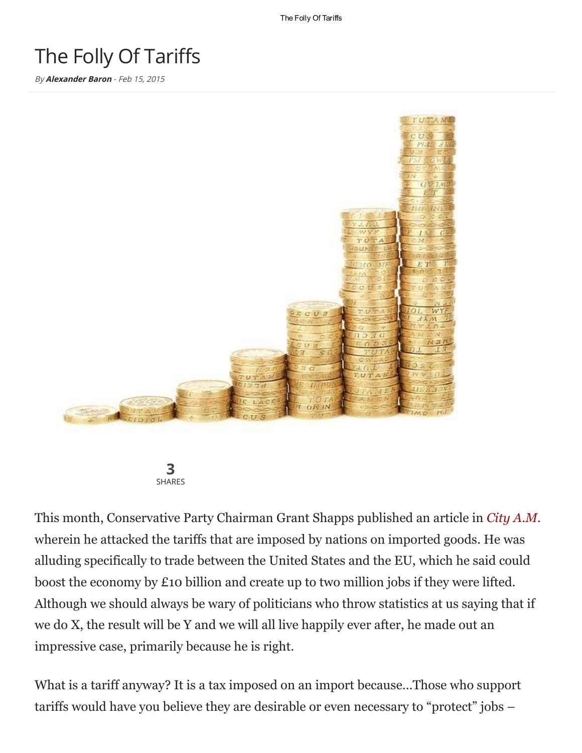The Folly Of Tariffs

## The Folly Of Tariffs

By **[Alexander](http://www.thelatestnews.com/author/alexander/) Baron** - Feb 15, 2015



3 SHARES

This month, Conservative Party Chairman Grant Shapps published an article in *City [A.M.](https://web.archive.org/web/20150213035007/http://www.cityam.com/209242/free-trade-deals-could-turbo-charge-uk-economy-10bn)* wherein he attacked the tariffs that are imposed by nations on imported goods. He was alluding specifically to trade between the United States and the EU, which he said could boost the economy by £10 billion and create up to two million jobs if they were lifted. Although we should always be wary of politicians who throw statistics at us saying that if we do X, the result will be Y and we will all live happily ever after, he made out an impressive case, primarily because he is right.

What is a tariff anyway? It is a tax imposed on an import because…Those who support tariffs would have you believe they are desirable or even necessary to "protect" jobs –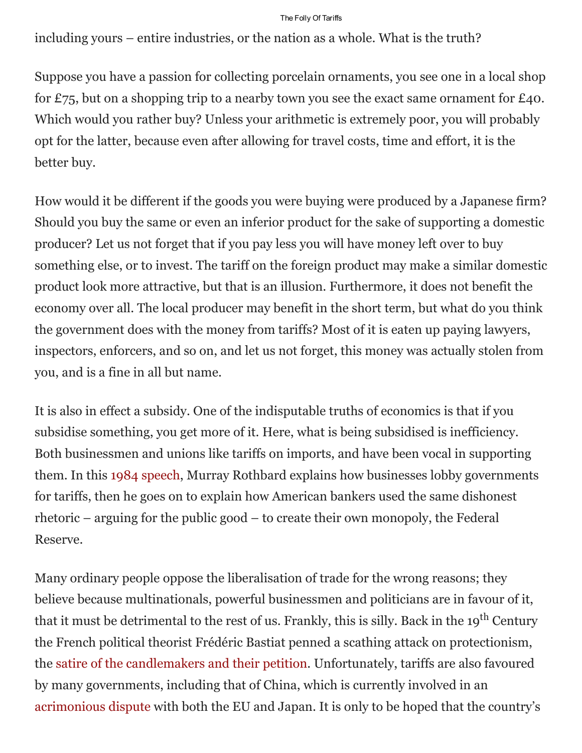## The Folly Of Tariffs

including yours – entire industries, or the nation as a whole. What is the truth?

Suppose you have a passion for collecting porcelain ornaments, you see one in a local shop for £75, but on a shopping trip to a nearby town you see the exact same ornament for £40. Which would you rather buy? Unless your arithmetic is extremely poor, you will probably opt for the latter, because even after allowing for travel costs, time and effort, it is the better buy.

How would it be different if the goods you were buying were produced by a Japanese firm? Should you buy the same or even an inferior product for the sake of supporting a domestic producer? Let us not forget that if you pay less you will have money left over to buy something else, or to invest. The tariff on the foreign product may make a similar domestic product look more attractive, but that is an illusion. Furthermore, it does not benefit the economy over all. The local producer may benefit in the short term, but what do you think the government does with the money from tariffs? Most of it is eaten up paying lawyers, inspectors, enforcers, and so on, and let us not forget, this money was actually stolen from you, and is a fine in all but name.

It is also in effect a subsidy. One of the indisputable truths of economics is that if you subsidise something, you get more of it. Here, what is being subsidised is inefficiency. Both businessmen and unions like tariffs on imports, and have been vocal in supporting them. In this 1984 [speech,](https://archive.org/details/MurrayRothbardExplainsTheOriginOfTheFederalReserve) Murray Rothbard explains how businesses lobby governments for tariffs, then he goes on to explain how American bankers used the same dishonest rhetoric – arguing for the public good – to create their own monopoly, the Federal Reserve.

Many ordinary people oppose the liberalisation of trade for the wrong reasons; they believe because multinationals, powerful businessmen and politicians are in favour of it, that it must be detrimental to the rest of us. Frankly, this is silly. Back in the 19<sup>th</sup> Century the French political theorist Frédéric Bastiat penned a scathing attack on protectionism, the satire of the [candlemakers](http://www.infotextmanuscripts.org/other_candlemakers.html) and their petition. Unfortunately, tariffs are also favoured by many governments, including that of China, which is currently involved in an [acrimonious](http://www.lse.co.uk/AllNews.asp?code=xjjwcrmy&headline=EU_Japan_win_trade_dispute_with_China_over_steel_tube_tariffs) dispute with both the EU and Japan. It is only to be hoped that the country's